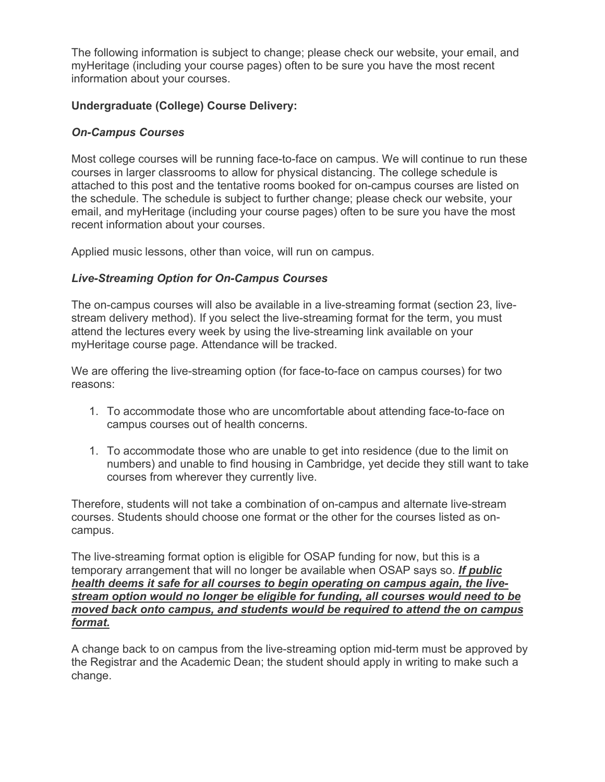The following information is subject to change; please check our website, your email, and myHeritage (including your course pages) often to be sure you have the most recent information about your courses.

# **Undergraduate (College) Course Delivery:**

## *On-Campus Courses*

Most college courses will be running face-to-face on campus. We will continue to run these courses in larger classrooms to allow for physical distancing. The college schedule is attached to this post and the tentative rooms booked for on-campus courses are listed on the schedule. The schedule is subject to further change; please check our website, your email, and myHeritage (including your course pages) often to be sure you have the most recent information about your courses.

Applied music lessons, other than voice, will run on campus.

# *Live-Streaming Option for On-Campus Courses*

The on-campus courses will also be available in a live-streaming format (section 23, livestream delivery method). If you select the live-streaming format for the term, you must attend the lectures every week by using the live-streaming link available on your myHeritage course page. Attendance will be tracked.

We are offering the live-streaming option (for face-to-face on campus courses) for two reasons:

- 1. To accommodate those who are uncomfortable about attending face-to-face on campus courses out of health concerns.
- 1. To accommodate those who are unable to get into residence (due to the limit on numbers) and unable to find housing in Cambridge, yet decide they still want to take courses from wherever they currently live.

Therefore, students will not take a combination of on-campus and alternate live-stream courses. Students should choose one format or the other for the courses listed as oncampus.

The live-streaming format option is eligible for OSAP funding for now, but this is a temporary arrangement that will no longer be available when OSAP says so. *If public health deems it safe for all courses to begin operating on campus again, the livestream option would no longer be eligible for funding, all courses would need to be moved back onto campus, and students would be required to attend the on campus format.*

A change back to on campus from the live-streaming option mid-term must be approved by the Registrar and the Academic Dean; the student should apply in writing to make such a change.